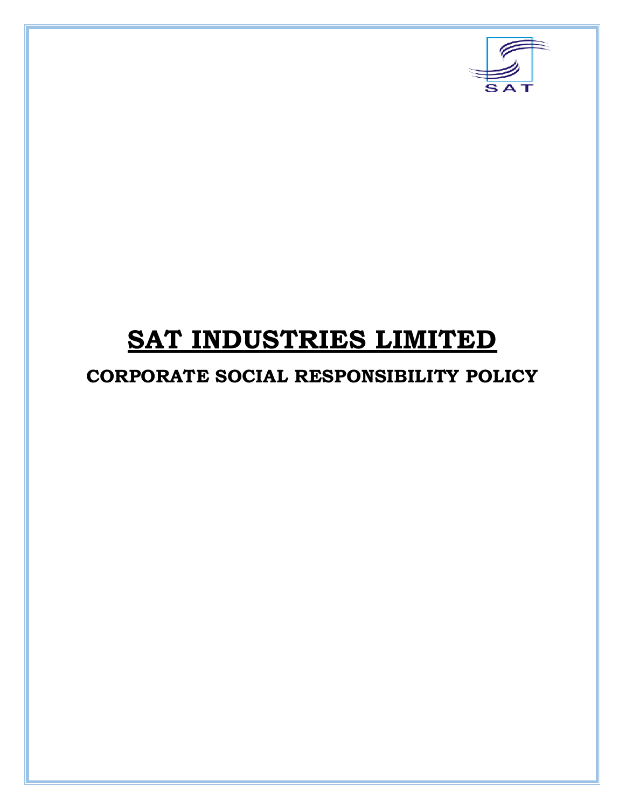

# **SAT INDUSTRIES LIMITED**

# **CORPORATE SOCIAL RESPONSIBILITY POLICY**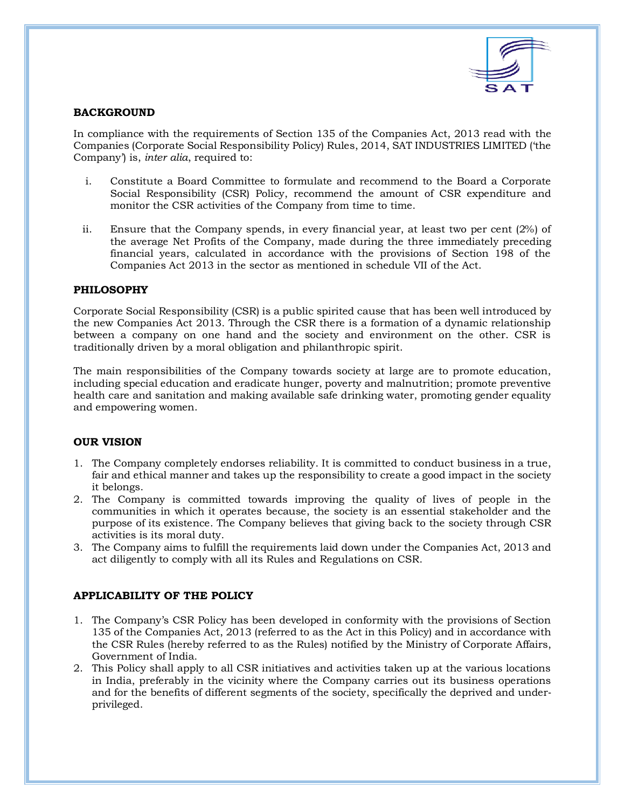

# **BACKGROUND**

In compliance with the requirements of Section 135 of the Companies Act, 2013 read with the Companies (Corporate Social Responsibility Policy) Rules, 2014, SAT INDUSTRIES LIMITED ('the Company') is, *inter alia*, required to:

- i. Constitute a Board Committee to formulate and recommend to the Board a Corporate Social Responsibility (CSR) Policy, recommend the amount of CSR expenditure and monitor the CSR activities of the Company from time to time.
- ii. Ensure that the Company spends, in every financial year, at least two per cent (2%) of the average Net Profits of the Company, made during the three immediately preceding financial years, calculated in accordance with the provisions of Section 198 of the Companies Act 2013 in the sector as mentioned in schedule VII of the Act.

# **PHILOSOPHY**

Corporate Social Responsibility (CSR) is a public spirited cause that has been well introduced by the new Companies Act 2013. Through the CSR there is a formation of a dynamic relationship between a company on one hand and the society and environment on the other. CSR is traditionally driven by a moral obligation and philanthropic spirit.

The main responsibilities of the Company towards society at large are to promote education, including special education and eradicate hunger, poverty and malnutrition; promote preventive health care and sanitation and making available safe drinking water, promoting gender equality and empowering women.

#### **OUR VISION**

- 1. The Company completely endorses reliability. It is committed to conduct business in a true, fair and ethical manner and takes up the responsibility to create a good impact in the society it belongs.
- 2. The Company is committed towards improving the quality of lives of people in the communities in which it operates because, the society is an essential stakeholder and the purpose of its existence. The Company believes that giving back to the society through CSR activities is its moral duty.
- 3. The Company aims to fulfill the requirements laid down under the Companies Act, 2013 and act diligently to comply with all its Rules and Regulations on CSR.

# **APPLICABILITY OF THE POLICY**

- 1. The Company's CSR Policy has been developed in conformity with the provisions of Section 135 of the Companies Act, 2013 (referred to as the Act in this Policy) and in accordance with the CSR Rules (hereby referred to as the Rules) notified by the Ministry of Corporate Affairs, Government of India.
- 2. This Policy shall apply to all CSR initiatives and activities taken up at the various locations in India, preferably in the vicinity where the Company carries out its business operations and for the benefits of different segments of the society, specifically the deprived and under‐ privileged.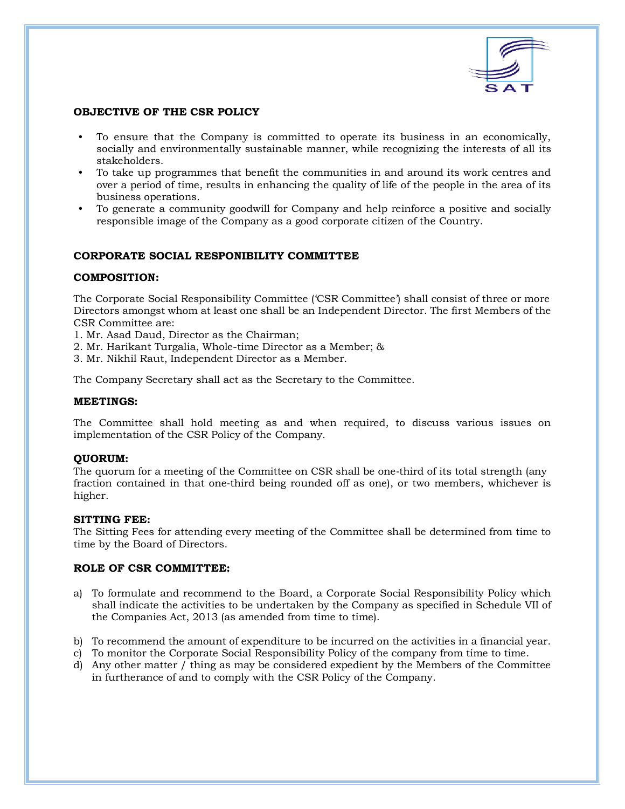

# **OBJECTIVE OF THE CSR POLICY**

- To ensure that the Company is committed to operate its business in an economically, socially and environmentally sustainable manner, while recognizing the interests of all its stakeholders.
- To take up programmes that benefit the communities in and around its work centres and over a period of time, results in enhancing the quality of life of the people in the area of its business operations.
- To generate a community goodwill for Company and help reinforce a positive and socially responsible image of the Company as a good corporate citizen of the Country.

# **CORPORATE SOCIAL RESPONIBILITY COMMITTEE**

### **COMPOSITION:**

The Corporate Social Responsibility Committee ('CSR Committee') shall consist of three or more Directors amongst whom at least one shall be an Independent Director. The first Members of the CSR Committee are:

- 1. Mr. Asad Daud, Director as the Chairman;
- 2. Mr. Harikant Turgalia, Whole-time Director as a Member; &
- 3. Mr. Nikhil Raut, Independent Director as a Member.

The Company Secretary shall act as the Secretary to the Committee.

#### **MEETINGS:**

The Committee shall hold meeting as and when required, to discuss various issues on implementation of the CSR Policy of the Company.

#### **QUORUM:**

The quorum for a meeting of the Committee on CSR shall be one-third of its total strength (any fraction contained in that one‐third being rounded off as one), or two members, whichever is higher.

#### **SITTING FEE:**

The Sitting Fees for attending every meeting of the Committee shall be determined from time to time by the Board of Directors.

#### **ROLE OF CSR COMMITTEE:**

- a) To formulate and recommend to the Board, a Corporate Social Responsibility Policy which shall indicate the activities to be undertaken by the Company as specified in Schedule VII of the Companies Act, 2013 (as amended from time to time).
- b) To recommend the amount of expenditure to be incurred on the activities in a financial year.
- c) To monitor the Corporate Social Responsibility Policy of the company from time to time.
- d) Any other matter / thing as may be considered expedient by the Members of the Committee in furtherance of and to comply with the CSR Policy of the Company.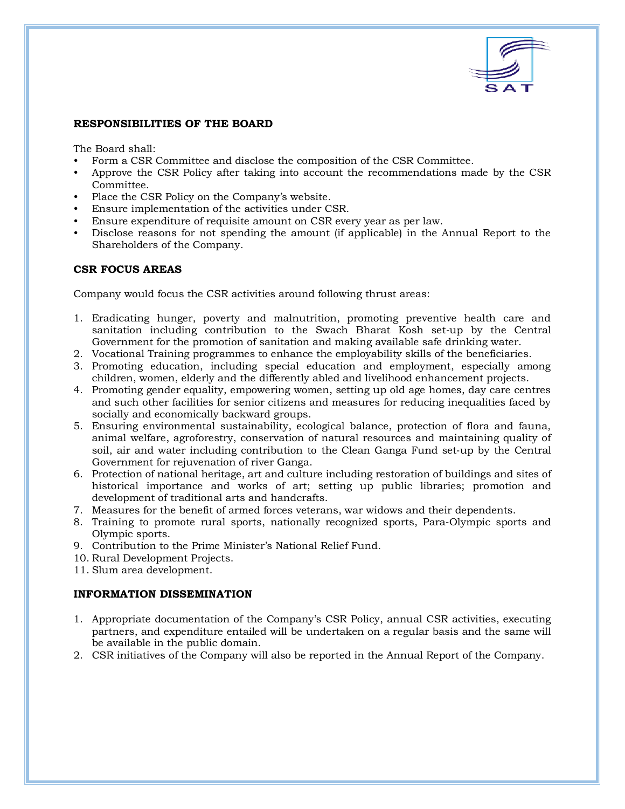

# **RESPONSIBILITIES OF THE BOARD**

The Board shall:

- Form a CSR Committee and disclose the composition of the CSR Committee.
- Approve the CSR Policy after taking into account the recommendations made by the CSR Committee.
- Place the CSR Policy on the Company's website.
- Ensure implementation of the activities under CSR.
- Ensure expenditure of requisite amount on CSR every year as per law.
- Disclose reasons for not spending the amount (if applicable) in the Annual Report to the Shareholders of the Company.

### **CSR FOCUS AREAS**

Company would focus the CSR activities around following thrust areas:

- 1. Eradicating hunger, poverty and malnutrition, promoting preventive health care and sanitation including contribution to the Swach Bharat Kosh set-up by the Central Government for the promotion of sanitation and making available safe drinking water.
- 2. Vocational Training programmes to enhance the employability skills of the beneficiaries.
- 3. Promoting education, including special education and employment, especially among children, women, elderly and the differently abled and livelihood enhancement projects.
- 4. Promoting gender equality, empowering women, setting up old age homes, day care centres and such other facilities for senior citizens and measures for reducing inequalities faced by socially and economically backward groups.
- 5. Ensuring environmental sustainability, ecological balance, protection of flora and fauna, animal welfare, agroforestry, conservation of natural resources and maintaining quality of soil, air and water including contribution to the Clean Ganga Fund set‐up by the Central Government for rejuvenation of river Ganga.
- 6. Protection of national heritage, art and culture including restoration of buildings and sites of historical importance and works of art; setting up public libraries; promotion and development of traditional arts and handcrafts.
- 7. Measures for the benefit of armed forces veterans, war widows and their dependents.
- 8. Training to promote rural sports, nationally recognized sports, Para‐Olympic sports and Olympic sports.
- 9. Contribution to the Prime Minister's National Relief Fund.
- 10. Rural Development Projects.
- 11. Slum area development.

#### **INFORMATION DISSEMINATION**

- 1. Appropriate documentation of the Company's CSR Policy, annual CSR activities, executing partners, and expenditure entailed will be undertaken on a regular basis and the same will be available in the public domain.
- 2. CSR initiatives of the Company will also be reported in the Annual Report of the Company.